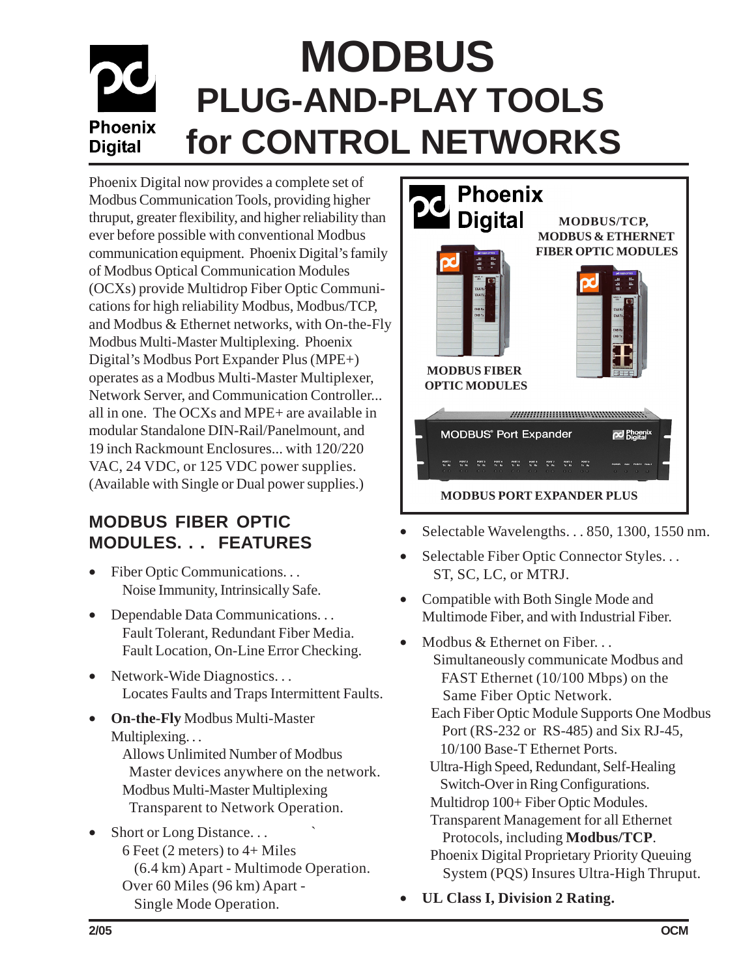# **MODBUS PLUG-AND-PLAY TOOLS Phoenix for CONTROL NETWORKS Digital**

Phoenix Digital now provides a complete set of Modbus Communication Tools, providing higher thruput, greater flexibility, and higher reliability than ever before possible with conventional Modbus communication equipment. Phoenix Digital's family of Modbus Optical Communication Modules (OCXs) provide Multidrop Fiber Optic Communications for high reliability Modbus, Modbus/TCP, and Modbus & Ethernet networks, with On-the-Fly Modbus Multi-Master Multiplexing. Phoenix Digital's Modbus Port Expander Plus (MPE+) operates as a Modbus Multi-Master Multiplexer, Network Server, and Communication Controller... all in one. The OCXs and MPE+ are available in modular Standalone DIN-Rail/Panelmount, and 19 inch Rackmount Enclosures... with 120/220 VAC, 24 VDC, or 125 VDC power supplies. (Available with Single or Dual power supplies.)

### **MODBUS FIBER OPTIC MODULES. . . FEATURES**

- Fiber Optic Communications. . . Noise Immunity, Intrinsically Safe.
- Dependable Data Communications. . . Fault Tolerant, Redundant Fiber Media. Fault Location, On-Line Error Checking.
- Network-Wide Diagnostics. . . Locates Faults and Traps Intermittent Faults.
- **On-the-Fly** Modbus Multi-Master Multiplexing...
	- Allows Unlimited Number of Modbus Master devices anywhere on the network. Modbus Multi-Master Multiplexing Transparent to Network Operation.
- Short or Long Distance... 6 Feet (2 meters) to 4+ Miles (6.4 km) Apart - Multimode Operation. Over 60 Miles (96 km) Apart - Single Mode Operation.



- Selectable Wavelengths. . . 850, 1300, 1550 nm.
- Selectable Fiber Optic Connector Styles. . . ST, SC, LC, or MTRJ.
- Compatible with Both Single Mode and Multimode Fiber, and with Industrial Fiber.
	- Modbus & Ethernet on Fiber... Simultaneously communicate Modbus and FAST Ethernet (10/100 Mbps) on the Same Fiber Optic Network. Each Fiber Optic Module Supports One Modbus Port (RS-232 or RS-485) and Six RJ-45, 10/100 Base-T Ethernet Ports. Ultra-High Speed, Redundant, Self-Healing Switch-Over in Ring Configurations. Multidrop 100+ Fiber Optic Modules. Transparent Management for all Ethernet Protocols, including **Modbus/TCP**. Phoenix Digital Proprietary Priority Queuing System (PQS) Insures Ultra-High Thruput. • **UL Class I, Division 2 Rating.**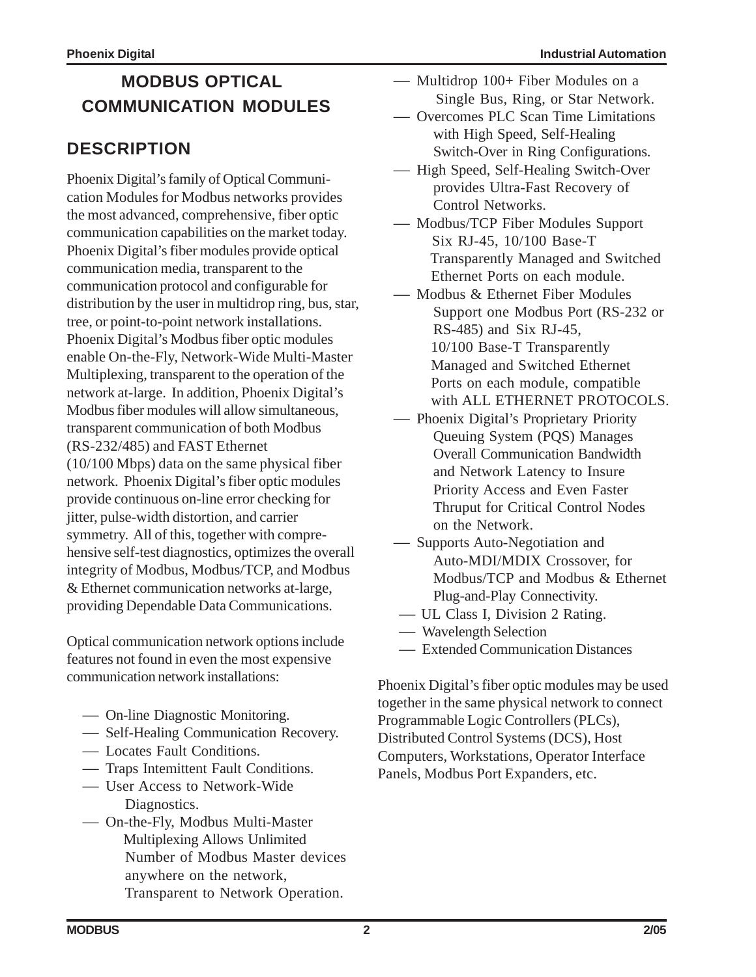## **MODBUS OPTICAL COMMUNICATION MODULES**

### **DESCRIPTION**

Phoenix Digital's family of Optical Communication Modules for Modbus networks provides the most advanced, comprehensive, fiber optic communication capabilities on the market today. Phoenix Digital's fiber modules provide optical communication media, transparent to the communication protocol and configurable for distribution by the user in multidrop ring, bus, star, tree, or point-to-point network installations. Phoenix Digital's Modbus fiber optic modules enable On-the-Fly, Network-Wide Multi-Master Multiplexing, transparent to the operation of the network at-large. In addition, Phoenix Digital's Modbus fiber modules will allow simultaneous, transparent communication of both Modbus (RS-232/485) and FAST Ethernet (10/100 Mbps) data on the same physical fiber network. Phoenix Digital's fiber optic modules provide continuous on-line error checking for jitter, pulse-width distortion, and carrier symmetry. All of this, together with comprehensive self-test diagnostics, optimizes the overall integrity of Modbus, Modbus/TCP, and Modbus & Ethernet communication networks at-large, providing Dependable Data Communications.

Optical communication network options include features not found in even the most expensive communication network installations:

- On-line Diagnostic Monitoring.
- Self-Healing Communication Recovery.
- Locates Fault Conditions.
- Traps Intemittent Fault Conditions.
- User Access to Network-Wide Diagnostics.
- On-the-Fly, Modbus Multi-Master Multiplexing Allows Unlimited Number of Modbus Master devices anywhere on the network, Transparent to Network Operation.
- Multidrop 100+ Fiber Modules on a Single Bus, Ring, or Star Network.
- Overcomes PLC Scan Time Limitations with High Speed, Self-Healing Switch-Over in Ring Configurations.
- High Speed, Self-Healing Switch-Over provides Ultra-Fast Recovery of Control Networks.
- Modbus/TCP Fiber Modules Support Six RJ-45, 10/100 Base-T Transparently Managed and Switched Ethernet Ports on each module.
- Modbus & Ethernet Fiber Modules Support one Modbus Port (RS-232 or RS-485) and Six RJ-45, 10/100 Base-T Transparently Managed and Switched Ethernet Ports on each module, compatible with ALL ETHERNET PROTOCOLS.
- Phoenix Digital's Proprietary Priority Queuing System (PQS) Manages Overall Communication Bandwidth and Network Latency to Insure Priority Access and Even Faster Thruput for Critical Control Nodes on the Network.
- Supports Auto-Negotiation and Auto-MDI/MDIX Crossover, for Modbus/TCP and Modbus & Ethernet Plug-and-Play Connectivity.
- UL Class I, Division 2 Rating.
- Wavelength Selection
- Extended Communication Distances

Phoenix Digital's fiber optic modules may be used together in the same physical network to connect Programmable Logic Controllers (PLCs), Distributed Control Systems (DCS), Host Computers, Workstations, Operator Interface Panels, Modbus Port Expanders, etc.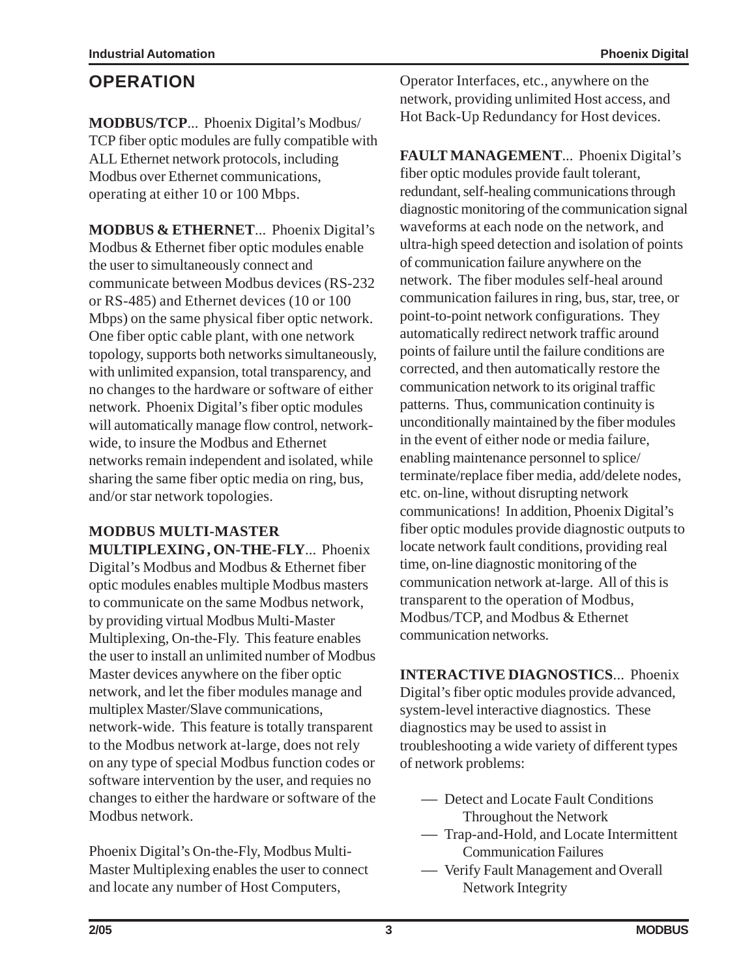#### **OPERATION**

**MODBUS/TCP**... Phoenix Digital's Modbus/ TCP fiber optic modules are fully compatible with ALL Ethernet network protocols, including Modbus over Ethernet communications, operating at either 10 or 100 Mbps.

**MODBUS & ETHERNET**... Phoenix Digital's Modbus & Ethernet fiber optic modules enable the user to simultaneously connect and communicate between Modbus devices (RS-232 or RS-485) and Ethernet devices (10 or 100 Mbps) on the same physical fiber optic network. One fiber optic cable plant, with one network topology, supports both networks simultaneously, with unlimited expansion, total transparency, and no changes to the hardware or software of either network. Phoenix Digital's fiber optic modules will automatically manage flow control, networkwide, to insure the Modbus and Ethernet networks remain independent and isolated, while sharing the same fiber optic media on ring, bus, and/or star network topologies.

**MODBUS MULTI-MASTER MULTIPLEXING, ON-THE-FLY**... Phoenix Digital's Modbus and Modbus & Ethernet fiber optic modules enables multiple Modbus masters

to communicate on the same Modbus network, by providing virtual Modbus Multi-Master Multiplexing, On-the-Fly. This feature enables the user to install an unlimited number of Modbus Master devices anywhere on the fiber optic network, and let the fiber modules manage and multiplex Master/Slave communications, network-wide. This feature is totally transparent to the Modbus network at-large, does not rely on any type of special Modbus function codes or software intervention by the user, and requies no changes to either the hardware or software of the Modbus network.

Phoenix Digital's On-the-Fly, Modbus Multi-Master Multiplexing enables the user to connect and locate any number of Host Computers,

Operator Interfaces, etc., anywhere on the network, providing unlimited Host access, and Hot Back-Up Redundancy for Host devices.

**FAULT MANAGEMENT**... Phoenix Digital's fiber optic modules provide fault tolerant, redundant, self-healing communications through diagnostic monitoring of the communication signal waveforms at each node on the network, and ultra-high speed detection and isolation of points of communication failure anywhere on the network. The fiber modules self-heal around communication failures in ring, bus, star, tree, or point-to-point network configurations. They automatically redirect network traffic around points of failure until the failure conditions are corrected, and then automatically restore the communication network to its original traffic patterns. Thus, communication continuity is unconditionally maintained by the fiber modules in the event of either node or media failure, enabling maintenance personnel to splice/ terminate/replace fiber media, add/delete nodes, etc. on-line, without disrupting network communications! In addition, Phoenix Digital's fiber optic modules provide diagnostic outputs to locate network fault conditions, providing real time, on-line diagnostic monitoring of the communication network at-large. All of this is transparent to the operation of Modbus, Modbus/TCP, and Modbus & Ethernet communication networks.

**INTERACTIVE DIAGNOSTICS**... Phoenix Digital's fiber optic modules provide advanced, system-level interactive diagnostics. These diagnostics may be used to assist in troubleshooting a wide variety of different types of network problems:

- Detect and Locate Fault Conditions Throughout the Network
- Trap-and-Hold, and Locate Intermittent Communication Failures
- Verify Fault Management and Overall Network Integrity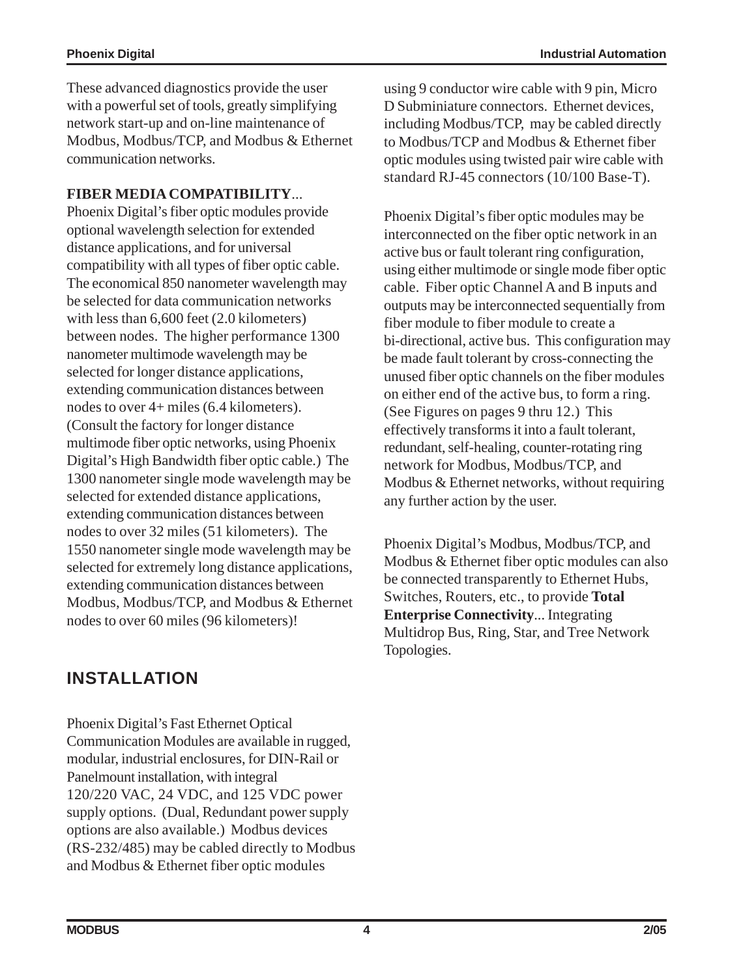These advanced diagnostics provide the user with a powerful set of tools, greatly simplifying network start-up and on-line maintenance of Modbus, Modbus/TCP, and Modbus & Ethernet communication networks.

#### **FIBER MEDIA COMPATIBILITY**...

Phoenix Digital's fiber optic modules provide optional wavelength selection for extended distance applications, and for universal compatibility with all types of fiber optic cable. The economical 850 nanometer wavelength may be selected for data communication networks with less than 6,600 feet (2.0 kilometers) between nodes. The higher performance 1300 nanometer multimode wavelength may be selected for longer distance applications, extending communication distances between nodes to over 4+ miles (6.4 kilometers). (Consult the factory for longer distance multimode fiber optic networks, using Phoenix Digital's High Bandwidth fiber optic cable.) The 1300 nanometer single mode wavelength may be selected for extended distance applications, extending communication distances between nodes to over 32 miles (51 kilometers). The 1550 nanometer single mode wavelength may be selected for extremely long distance applications, extending communication distances between Modbus, Modbus/TCP, and Modbus & Ethernet nodes to over 60 miles (96 kilometers)!

using 9 conductor wire cable with 9 pin, Micro D Subminiature connectors. Ethernet devices, including Modbus/TCP, may be cabled directly to Modbus/TCP and Modbus & Ethernet fiber optic modules using twisted pair wire cable with standard RJ-45 connectors (10/100 Base-T).

Phoenix Digital's fiber optic modules may be interconnected on the fiber optic network in an active bus or fault tolerant ring configuration, using either multimode or single mode fiber optic cable. Fiber optic Channel A and B inputs and outputs may be interconnected sequentially from fiber module to fiber module to create a bi-directional, active bus. This configuration may be made fault tolerant by cross-connecting the unused fiber optic channels on the fiber modules on either end of the active bus, to form a ring. (See Figures on pages 9 thru 12.) This effectively transforms it into a fault tolerant, redundant, self-healing, counter-rotating ring network for Modbus, Modbus/TCP, and Modbus & Ethernet networks, without requiring any further action by the user.

Phoenix Digital's Modbus, Modbus/TCP, and Modbus & Ethernet fiber optic modules can also be connected transparently to Ethernet Hubs, Switches, Routers, etc., to provide **Total Enterprise Connectivity**... Integrating Multidrop Bus, Ring, Star, and Tree Network Topologies.

### **INSTALLATION**

Phoenix Digital's Fast Ethernet Optical Communication Modules are available in rugged, modular, industrial enclosures, for DIN-Rail or Panelmount installation, with integral 120/220 VAC, 24 VDC, and 125 VDC power supply options. (Dual, Redundant power supply options are also available.) Modbus devices (RS-232/485) may be cabled directly to Modbus and Modbus & Ethernet fiber optic modules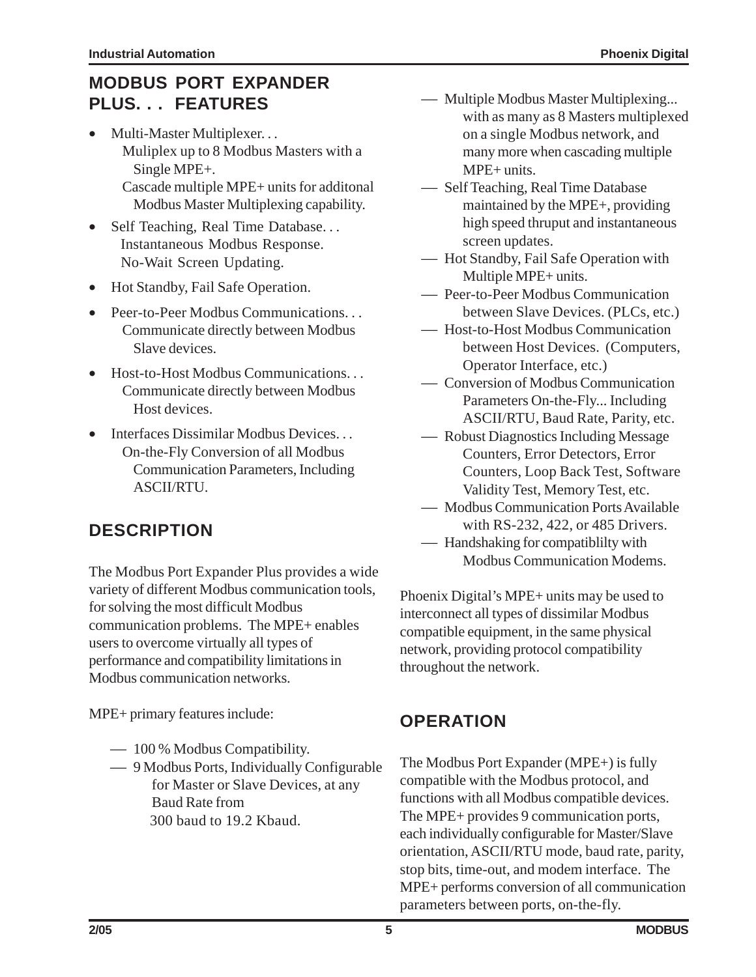## **MODBUS PORT EXPANDER PLUS. . . FEATURES**

- Multi-Master Multiplexer. . . Muliplex up to 8 Modbus Masters with a Single MPE+. Cascade multiple MPE+ units for additonal Modbus Master Multiplexing capability.
- Self Teaching, Real Time Database... Instantaneous Modbus Response. No-Wait Screen Updating.
- Hot Standby, Fail Safe Operation.
- Peer-to-Peer Modbus Communications. . . Communicate directly between Modbus Slave devices.
- Host-to-Host Modbus Communications... Communicate directly between Modbus Host devices.
- Interfaces Dissimilar Modbus Devices. . . On-the-Fly Conversion of all Modbus Communication Parameters, Including ASCII/RTU.

## **DESCRIPTION**

The Modbus Port Expander Plus provides a wide variety of different Modbus communication tools, for solving the most difficult Modbus communication problems. The MPE+ enables users to overcome virtually all types of performance and compatibility limitations in Modbus communication networks.

MPE+ primary features include:

- 100 % Modbus Compatibility.
- 9 Modbus Ports, Individually Configurable for Master or Slave Devices, at any Baud Rate from 300 baud to 19.2 Kbaud.
- Multiple Modbus Master Multiplexing... with as many as 8 Masters multiplexed on a single Modbus network, and many more when cascading multiple MPE+ units.
- $\overline{\phantom{a}}$  Self Teaching, Real Time Database maintained by the MPE+, providing high speed thruput and instantaneous screen updates.
- Hot Standby, Fail Safe Operation with Multiple MPE+ units.
- Peer-to-Peer Modbus Communication between Slave Devices. (PLCs, etc.)
- Host-to-Host Modbus Communication between Host Devices. (Computers, Operator Interface, etc.)
- Conversion of Modbus Communication Parameters On-the-Fly... Including ASCII/RTU, Baud Rate, Parity, etc.
- Robust Diagnostics Including Message Counters, Error Detectors, Error Counters, Loop Back Test, Software Validity Test, Memory Test, etc.
- Modbus Communication Ports Available with RS-232, 422, or 485 Drivers.
- Handshaking for compatiblilty with Modbus Communication Modems.

Phoenix Digital's MPE+ units may be used to interconnect all types of dissimilar Modbus compatible equipment, in the same physical network, providing protocol compatibility throughout the network.

## **OPERATION**

The Modbus Port Expander (MPE+) is fully compatible with the Modbus protocol, and functions with all Modbus compatible devices. The MPE+ provides 9 communication ports, each individually configurable for Master/Slave orientation, ASCII/RTU mode, baud rate, parity, stop bits, time-out, and modem interface. The MPE+ performs conversion of all communication parameters between ports, on-the-fly.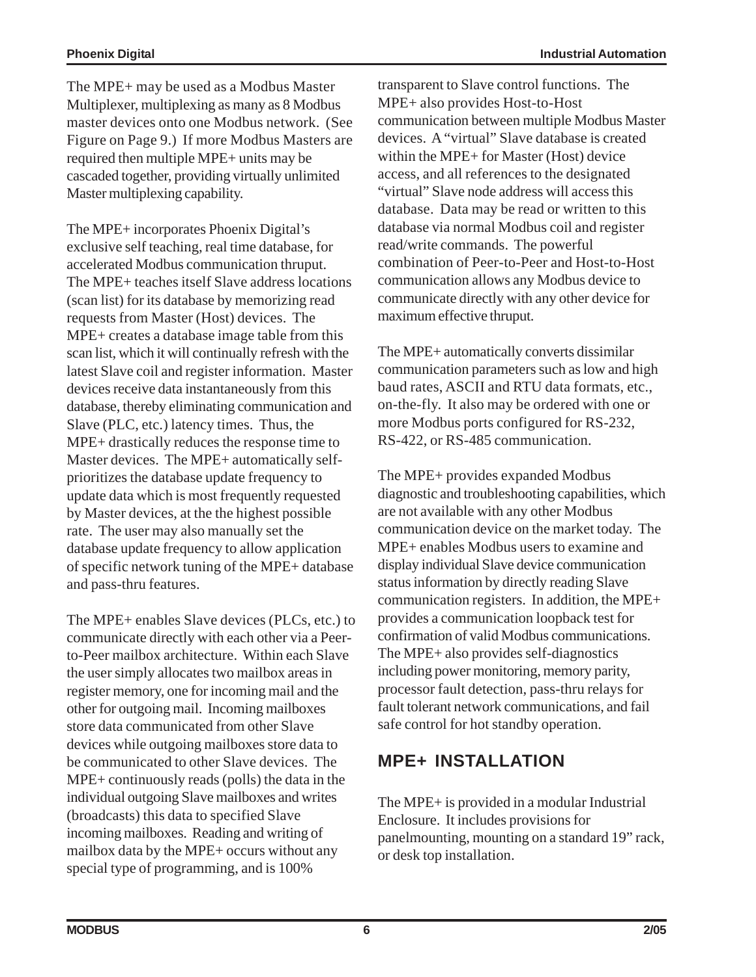The MPE+ may be used as a Modbus Master Multiplexer, multiplexing as many as 8 Modbus master devices onto one Modbus network. (See Figure on Page 9.) If more Modbus Masters are required then multiple MPE+ units may be cascaded together, providing virtually unlimited Master multiplexing capability.

The MPE+ incorporates Phoenix Digital's exclusive self teaching, real time database, for accelerated Modbus communication thruput. The MPE+ teaches itself Slave address locations (scan list) for its database by memorizing read requests from Master (Host) devices. The MPE+ creates a database image table from this scan list, which it will continually refresh with the latest Slave coil and register information. Master devices receive data instantaneously from this database, thereby eliminating communication and Slave (PLC, etc.) latency times. Thus, the MPE+ drastically reduces the response time to Master devices. The MPE+ automatically selfprioritizes the database update frequency to update data which is most frequently requested by Master devices, at the the highest possible rate. The user may also manually set the database update frequency to allow application of specific network tuning of the MPE+ database and pass-thru features.

The MPE+ enables Slave devices (PLCs, etc.) to communicate directly with each other via a Peerto-Peer mailbox architecture. Within each Slave the user simply allocates two mailbox areas in register memory, one for incoming mail and the other for outgoing mail. Incoming mailboxes store data communicated from other Slave devices while outgoing mailboxes store data to be communicated to other Slave devices. The MPE+ continuously reads (polls) the data in the individual outgoing Slave mailboxes and writes (broadcasts) this data to specified Slave incoming mailboxes. Reading and writing of mailbox data by the MPE+ occurs without any special type of programming, and is 100%

transparent to Slave control functions. The MPE+ also provides Host-to-Host communication between multiple Modbus Master devices. A "virtual" Slave database is created within the MPE+ for Master (Host) device access, and all references to the designated "virtual" Slave node address will access this database. Data may be read or written to this database via normal Modbus coil and register read/write commands. The powerful combination of Peer-to-Peer and Host-to-Host communication allows any Modbus device to communicate directly with any other device for maximum effective thruput.

The MPE+ automatically converts dissimilar communication parameters such as low and high baud rates, ASCII and RTU data formats, etc., on-the-fly. It also may be ordered with one or more Modbus ports configured for RS-232, RS-422, or RS-485 communication.

The MPE+ provides expanded Modbus diagnostic and troubleshooting capabilities, which are not available with any other Modbus communication device on the market today. The MPE+ enables Modbus users to examine and display individual Slave device communication status information by directly reading Slave communication registers. In addition, the MPE+ provides a communication loopback test for confirmation of valid Modbus communications. The MPE+ also provides self-diagnostics including power monitoring, memory parity, processor fault detection, pass-thru relays for fault tolerant network communications, and fail safe control for hot standby operation.

## **MPE+ INSTALLATION**

The MPE+ is provided in a modular Industrial Enclosure. It includes provisions for panelmounting, mounting on a standard 19" rack, or desk top installation.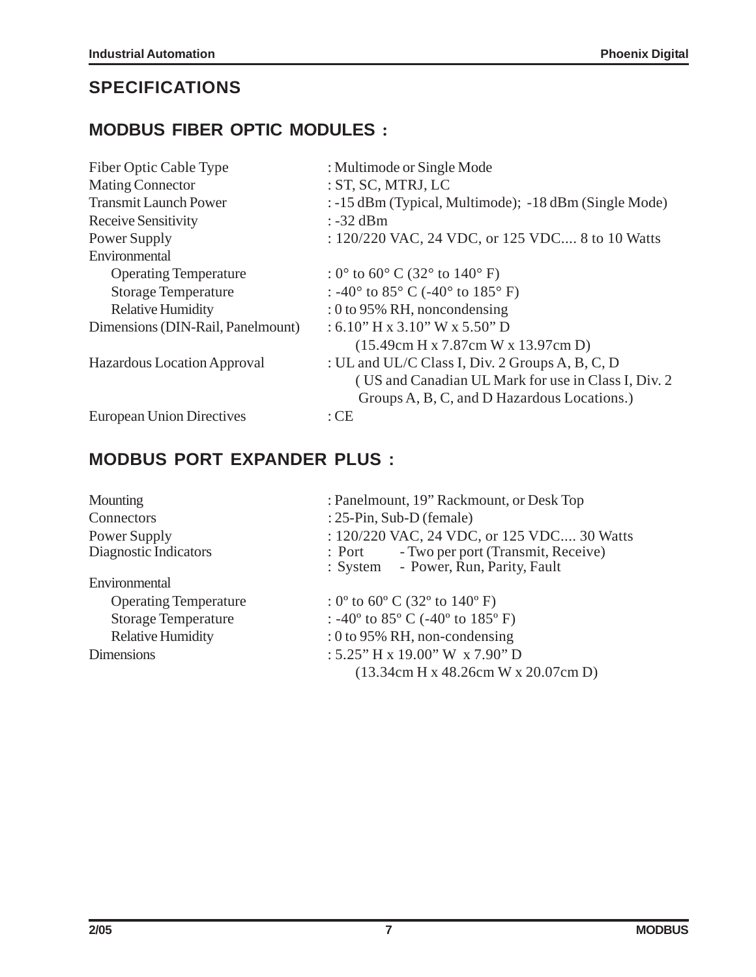### **SPECIFICATIONS**

#### **MODBUS FIBER OPTIC MODULES :**

| Fiber Optic Cable Type            | : Multimode or Single Mode                                           |
|-----------------------------------|----------------------------------------------------------------------|
| <b>Mating Connector</b>           | :ST, SC, MTRJ, LC                                                    |
| <b>Transmit Launch Power</b>      | : -15 dBm (Typical, Multimode); -18 dBm (Single Mode)                |
| Receive Sensitivity               | $: -32$ dBm                                                          |
| Power Supply                      | : 120/220 VAC, 24 VDC, or 125 VDC 8 to 10 Watts                      |
| Environmental                     |                                                                      |
| <b>Operating Temperature</b>      | : $0^{\circ}$ to $60^{\circ}$ C (32 $^{\circ}$ to 140 $^{\circ}$ F)  |
| <b>Storage Temperature</b>        | : -40 $\degree$ to 85 $\degree$ C (-40 $\degree$ to 185 $\degree$ F) |
| <b>Relative Humidity</b>          | : 0 to 95% RH, noncondensing                                         |
| Dimensions (DIN-Rail, Panelmount) | $: 6.10"$ H x 3.10" W x 5.50" D                                      |
|                                   | $(15.49cm$ H x 7.87cm W x 13.97cm D)                                 |
| Hazardous Location Approval       | : UL and UL/C Class I, Div. 2 Groups A, B, C, D                      |
|                                   | (US and Canadian UL Mark for use in Class I, Div. 2)                 |
|                                   | Groups A, B, C, and D Hazardous Locations.)                          |
| <b>European Union Directives</b>  | $:$ CE                                                               |

### **MODBUS PORT EXPANDER PLUS :**

| Mounting                     | : Panelmount, 19" Rackmount, or Desk Top                                               |
|------------------------------|----------------------------------------------------------------------------------------|
| Connectors                   | : $25$ -Pin, Sub-D (female)                                                            |
| Power Supply                 | : 120/220 VAC, 24 VDC, or 125 VDC 30 Watts                                             |
| Diagnostic Indicators        | - Two per port (Transmit, Receive)<br>$:$ Port<br>: System - Power, Run, Parity, Fault |
| Environmental                |                                                                                        |
| <b>Operating Temperature</b> | : $0^{\circ}$ to $60^{\circ}$ C (32 $^{\circ}$ to 140 $^{\circ}$ F)                    |
| <b>Storage Temperature</b>   | : -40 $^{\circ}$ to 85 $^{\circ}$ C (-40 $^{\circ}$ to 185 $^{\circ}$ F)               |
| <b>Relative Humidity</b>     | : 0 to 95% RH, non-condensing                                                          |
| <b>Dimensions</b>            | : $5.25$ " H x 19.00" W x 7.90" D                                                      |
|                              | $(13.34cm$ H x 48.26cm W x 20.07cm D)                                                  |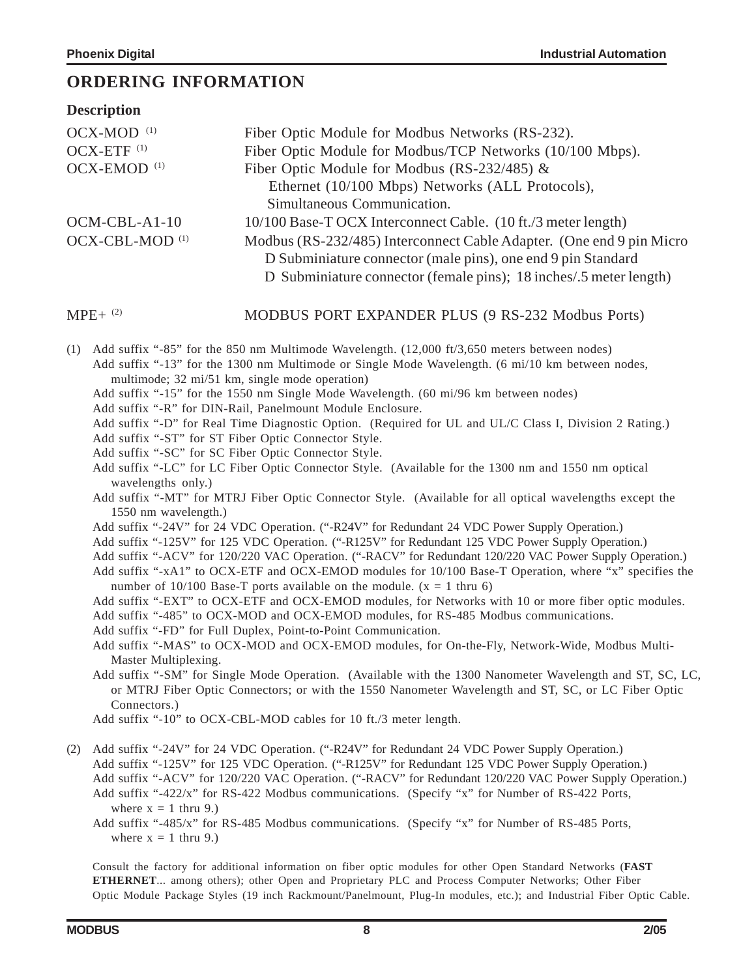#### **ORDERING INFORMATION**

| <b>Description</b>         |                                                                                                                                                                                                            |
|----------------------------|------------------------------------------------------------------------------------------------------------------------------------------------------------------------------------------------------------|
| $OCX-MOD$ <sup>(1)</sup>   | Fiber Optic Module for Modbus Networks (RS-232).                                                                                                                                                           |
| OCX-ETF <sup>(1)</sup>     | Fiber Optic Module for Modbus/TCP Networks (10/100 Mbps).                                                                                                                                                  |
| OCX-EMOD <sup>(1)</sup>    | Fiber Optic Module for Modbus (RS-232/485) $\&$                                                                                                                                                            |
|                            | Ethernet (10/100 Mbps) Networks (ALL Protocols),                                                                                                                                                           |
|                            | Simultaneous Communication.                                                                                                                                                                                |
| $OCM-CBL-A1-10$            | 10/100 Base-T OCX Interconnect Cable. (10 ft./3 meter length)                                                                                                                                              |
| OCX-CBL-MOD <sup>(1)</sup> | Modbus (RS-232/485) Interconnect Cable Adapter. (One end 9 pin Micro<br>D Subminiature connector (male pins), one end 9 pin Standard<br>D Subminiature connector (female pins); 18 inches/.5 meter length) |
| $MPE+{}^{(2)}$             | MODBUS PORT EXPANDER PLUS (9 RS-232 Modbus Ports)                                                                                                                                                          |
| (1)                        | Add suffix "-85" for the 850 nm Multimode Wavelength. (12,000 ft/3,650 meters between nodes)<br>Add suffix "-13" for the 1300 nm Multimode or Single Mode Wavelength. (6 mi/10 km between nodes,           |

multimode; 32 mi/51 km, single mode operation)

- Add suffix "-15" for the 1550 nm Single Mode Wavelength. (60 mi/96 km between nodes)
- Add suffix "-R" for DIN-Rail, Panelmount Module Enclosure.
- Add suffix "-D" for Real Time Diagnostic Option. (Required for UL and UL/C Class I, Division 2 Rating.)
- Add suffix "-ST" for ST Fiber Optic Connector Style.
- Add suffix "-SC" for SC Fiber Optic Connector Style.
- Add suffix "-LC" for LC Fiber Optic Connector Style. (Available for the 1300 nm and 1550 nm optical wavelengths only.)
- Add suffix "-MT" for MTRJ Fiber Optic Connector Style. (Available for all optical wavelengths except the 1550 nm wavelength.)
- Add suffix "-24V" for 24 VDC Operation. ("-R24V" for Redundant 24 VDC Power Supply Operation.)
- Add suffix "-125V" for 125 VDC Operation. ("-R125V" for Redundant 125 VDC Power Supply Operation.)
- Add suffix "-ACV" for 120/220 VAC Operation. ("-RACV" for Redundant 120/220 VAC Power Supply Operation.)
- Add suffix "-xA1" to OCX-ETF and OCX-EMOD modules for 10/100 Base-T Operation, where "x" specifies the number of 10/100 Base-T ports available on the module.  $(x = 1$  thru 6)

Add suffix "-EXT" to OCX-ETF and OCX-EMOD modules, for Networks with 10 or more fiber optic modules.

- Add suffix "-485" to OCX-MOD and OCX-EMOD modules, for RS-485 Modbus communications.
- Add suffix "-FD" for Full Duplex, Point-to-Point Communication.

Add suffix "-MAS" to OCX-MOD and OCX-EMOD modules, for On-the-Fly, Network-Wide, Modbus Multi-Master Multiplexing.

Add suffix "-SM" for Single Mode Operation. (Available with the 1300 Nanometer Wavelength and ST, SC, LC, or MTRJ Fiber Optic Connectors; or with the 1550 Nanometer Wavelength and ST, SC, or LC Fiber Optic Connectors.)

Add suffix "-10" to OCX-CBL-MOD cables for 10 ft./3 meter length.

- (2) Add suffix "-24V" for 24 VDC Operation. ("-R24V" for Redundant 24 VDC Power Supply Operation.) Add suffix "-125V" for 125 VDC Operation. ("-R125V" for Redundant 125 VDC Power Supply Operation.) Add suffix "-ACV" for 120/220 VAC Operation. ("-RACV" for Redundant 120/220 VAC Power Supply Operation.) Add suffix "-422/x" for RS-422 Modbus communications. (Specify "x" for Number of RS-422 Ports, where  $x = 1$  thru 9.)
	- Add suffix "-485/x" for RS-485 Modbus communications. (Specify "x" for Number of RS-485 Ports, where  $x = 1$  thru 9.)

Consult the factory for additional information on fiber optic modules for other Open Standard Networks (**FAST ETHERNET**... among others); other Open and Proprietary PLC and Process Computer Networks; Other Fiber Optic Module Package Styles (19 inch Rackmount/Panelmount, Plug-In modules, etc.); and Industrial Fiber Optic Cable.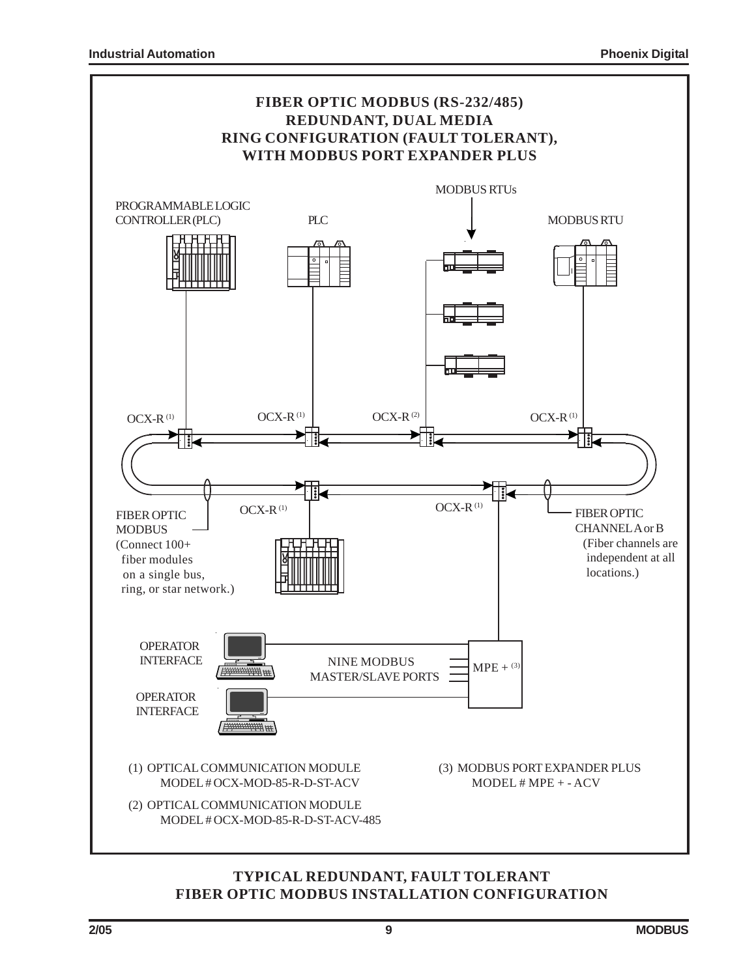

#### **TYPICAL REDUNDANT, FAULT TOLERANT FIBER OPTIC MODBUS INSTALLATION CONFIGURATION**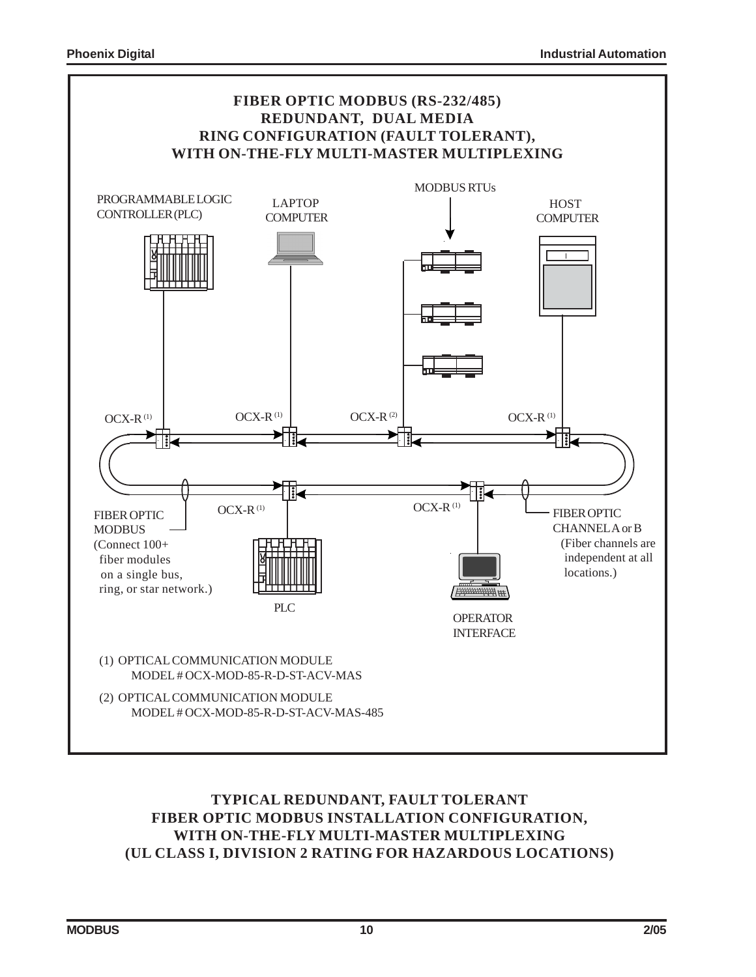

#### **TYPICAL REDUNDANT, FAULT TOLERANT FIBER OPTIC MODBUS INSTALLATION CONFIGURATION, WITH ON-THE-FLY MULTI-MASTER MULTIPLEXING (UL CLASS I, DIVISION 2 RATING FOR HAZARDOUS LOCATIONS)**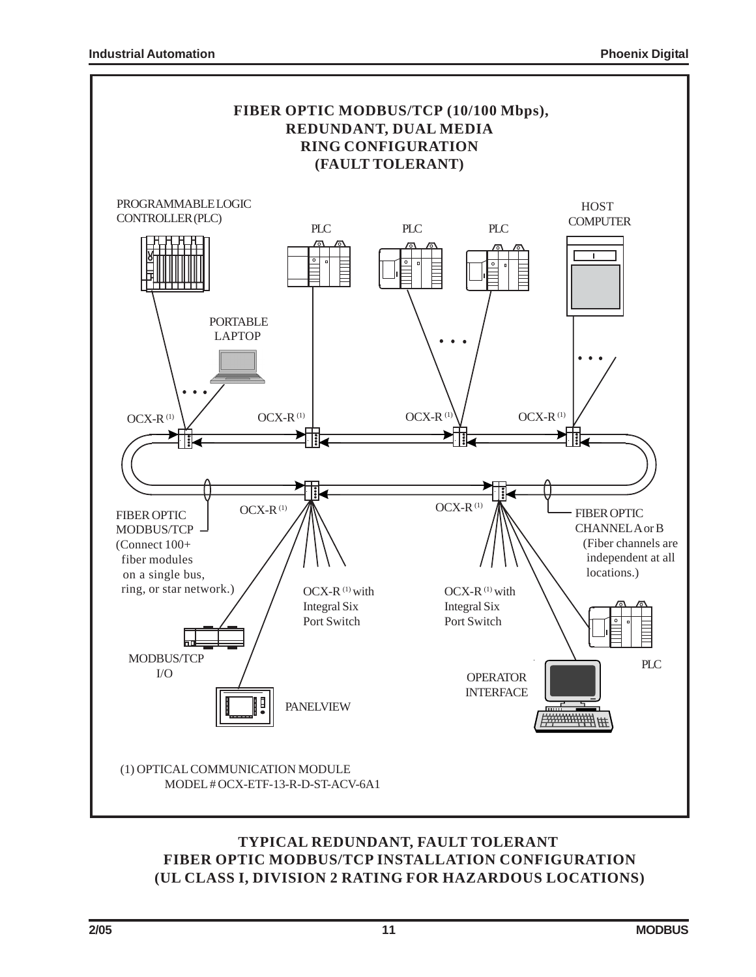

#### **TYPICAL REDUNDANT, FAULT TOLERANT FIBER OPTIC MODBUS/TCP INSTALLATION CONFIGURATION (UL CLASS I, DIVISION 2 RATING FOR HAZARDOUS LOCATIONS)**